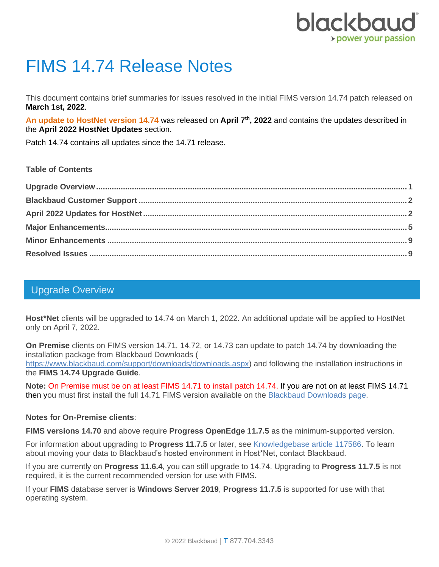

# FIMS 14.74 Release Notes

This document contains brief summaries for issues resolved in the initial FIMS version 14.74 patch released on **March 1st, 2022**.

**An update to HostNet version 14.74** was released on **April 7th, 2022** and contains the updates described in the **April 2022 HostNet Updates** section.

Patch 14.74 contains all updates since the 14.71 release.

#### **Table of Contents**

### <span id="page-0-0"></span>Upgrade Overview

**Host\*Net** clients will be upgraded to 14.74 on March 1, 2022. An additional update will be applied to HostNet only on April 7, 2022.

**On Premise** clients on FIMS version 14.71, 14.72, or 14.73 can update to patch 14.74 by downloading the installation package from Blackbaud Downloads (

[https://www.blackbaud.com/support/downloads/downloads.aspx\)](https://www.blackbaud.com/support/downloads/downloads.aspx) and following the installation instructions in the **FIMS 14.74 Upgrade Guide**.

**Note:** On Premise must be on at least FIMS 14.71 to install patch 14.74. If you are not on at least FIMS 14.71 then you must first install the full 14.71 FIMS version available on the [Blackbaud Downloads](https://www.blackbaud.com/support/downloads/downloads.aspx) page.

#### **Notes for On-Premise clients**:

**FIMS versions 14.70** and above require **Progress OpenEdge 11.7.5** as the minimum-supported version.

For information about upgrading to **Progress 11.7.5** or later, see [Knowledgebase article 117586.](https://kb.blackbaud.com/knowledgebase/articles/Article/117586) To learn about moving your data to Blackbaud's hosted environment in Host\*Net, contact Blackbaud.

If you are currently on **Progress 11.6.4**, you can still upgrade to 14.74. Upgrading to **Progress 11.7.5** is not required, it is the current recommended version for use with FIMS**.**

If your **FIMS** database server is **Windows Server 2019**, **Progress 11.7.5** is supported for use with that operating system.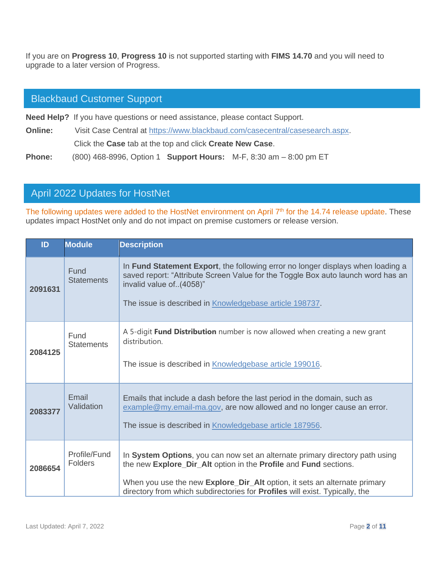If you are on **Progress 10**, **Progress 10** is not supported starting with **FIMS 14.70** and you will need to upgrade to a later version of Progress.

#### <span id="page-1-0"></span>Blackbaud Customer Support

**Need Help?** If you have questions or need assistance, please contact Support.

**Online:** Visit Case Central at [https://www.blackbaud.com/casecentral/casesearch.aspx.](https://www.blackbaud.com/casecentral/casesearch.aspx)

Click the **Case** tab at the top and click **Create New Case**.

**Phone:** (800) 468-8996, Option 1 **Support Hours:** M-F, 8:30 am – 8:00 pm ET

### <span id="page-1-1"></span>April 2022 Updates for HostNet

The following updates were added to the HostNet environment on April 7<sup>th</sup> for the 14.74 release update. These updates impact HostNet only and do not impact on premise customers or release version.

| ID      | <b>Module</b>                  | <b>Description</b>                                                                                                                                                                                                                                                                                           |
|---------|--------------------------------|--------------------------------------------------------------------------------------------------------------------------------------------------------------------------------------------------------------------------------------------------------------------------------------------------------------|
| 2091631 | Fund<br><b>Statements</b>      | In Fund Statement Export, the following error no longer displays when loading a<br>saved report: "Attribute Screen Value for the Toggle Box auto launch word has an<br>invalid value of(4058)"<br>The issue is described in Knowledgebase article 198737.                                                    |
| 2084125 | Fund<br><b>Statements</b>      | A 5-digit Fund Distribution number is now allowed when creating a new grant<br>distribution.<br>The issue is described in Knowledgebase article 199016.                                                                                                                                                      |
| 2083377 | Email<br>Validation            | Emails that include a dash before the last period in the domain, such as<br>example@my.email-ma.gov, are now allowed and no longer cause an error.<br>The issue is described in Knowledgebase article 187956.                                                                                                |
| 2086654 | Profile/Fund<br><b>Folders</b> | In System Options, you can now set an alternate primary directory path using<br>the new Explore_Dir_Alt option in the Profile and Fund sections.<br>When you use the new Explore_Dir_Alt option, it sets an alternate primary<br>directory from which subdirectories for Profiles will exist. Typically, the |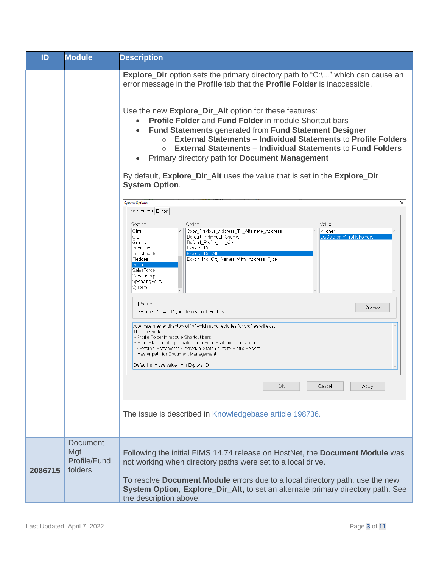| ID      | <b>Module</b>                                     | <b>Description</b>                                                                                                                                                                                                                                                                                                                                                                                                                                                                                                                                                                                                                                                                                                                            |
|---------|---------------------------------------------------|-----------------------------------------------------------------------------------------------------------------------------------------------------------------------------------------------------------------------------------------------------------------------------------------------------------------------------------------------------------------------------------------------------------------------------------------------------------------------------------------------------------------------------------------------------------------------------------------------------------------------------------------------------------------------------------------------------------------------------------------------|
|         |                                                   | <b>Explore_Dir</b> option sets the primary directory path to "C:\" which can cause an<br>error message in the <b>Profile</b> tab that the <b>Profile Folder</b> is inaccessible.<br>Use the new Explore_Dir_Alt option for these features:<br><b>Profile Folder and Fund Folder in module Shortcut bars</b><br>$\bullet$<br><b>Fund Statements generated from Fund Statement Designer</b><br>$\bullet$<br><b>External Statements - Individual Statements to Profile Folders</b><br>$\circ$<br><b>External Statements - Individual Statements to Fund Folders</b><br>$\bigcirc$<br>Primary directory path for <b>Document Management</b><br>By default, Explore_Dir_Alt uses the value that is set in the Explore_Dir<br><b>System Option.</b> |
|         |                                                   | <b>System Options</b><br>$\times$<br>Preferences Editor<br>Value:<br>Option:<br>Section:<br>Copy_Previous_Address_To_Alternate_Address<br><none><br/>Gifts<br/>D:\Deleteme\ProfileFolders<br/>GL<br/>Default_Individual_Checks<br/>Default Profile Ind Org<br/>Grants<br/>Interfund<br/>Explore_Dir<br/>Investments<br/>Explore Dir Alt<br/>Export_Ind_Org_Names_With_Address_Type<br/>Pledges<br/>Profiles<br/>SalesForce<br/>Scholarships<br/>SpendingPolicy<br/>System</none>                                                                                                                                                                                                                                                              |
|         |                                                   | [Profiles]<br>Browse<br>Explore_Dir_Alt=D:\Deleteme\ProfileFolders<br>Alternate master directory off of which subdirectories for profiles will exist<br>This is used for<br>- Profile Folder in module Shortcut bars<br>- Fund Statements generated from Fund Statement Designer<br>- External Statements - Individual Statements to Profile Folders<br>- Master path for Document Management<br>Default is to use value from Explore_Dir                                                                                                                                                                                                                                                                                                     |
|         |                                                   | OK.<br>Cancel<br>Apply<br>The issue is described in Knowledgebase article 198736.                                                                                                                                                                                                                                                                                                                                                                                                                                                                                                                                                                                                                                                             |
| 2086715 | <b>Document</b><br>Mgt<br>Profile/Fund<br>folders | Following the initial FIMS 14.74 release on HostNet, the Document Module was<br>not working when directory paths were set to a local drive.<br>To resolve <b>Document Module</b> errors due to a local directory path, use the new<br>System Option, Explore_Dir_Alt, to set an alternate primary directory path. See<br>the description above.                                                                                                                                                                                                                                                                                                                                                                                               |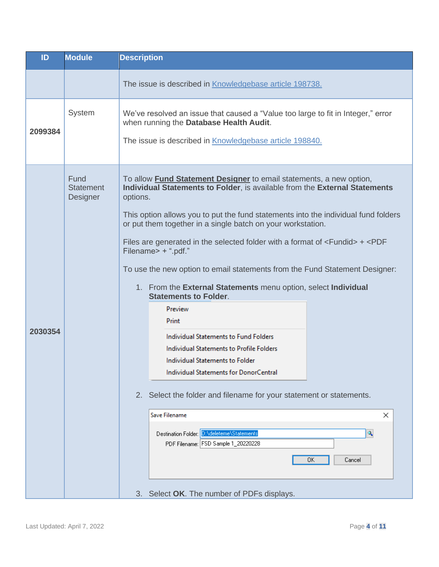| ID      | <b>Module</b>                        | <b>Description</b>                                                                                                                                                                                                                                                                                                                                                                                                                                                                                                                                                                                                                                                                                                                                                                                                                                                                                                                                                                                                                                                       |
|---------|--------------------------------------|--------------------------------------------------------------------------------------------------------------------------------------------------------------------------------------------------------------------------------------------------------------------------------------------------------------------------------------------------------------------------------------------------------------------------------------------------------------------------------------------------------------------------------------------------------------------------------------------------------------------------------------------------------------------------------------------------------------------------------------------------------------------------------------------------------------------------------------------------------------------------------------------------------------------------------------------------------------------------------------------------------------------------------------------------------------------------|
|         |                                      | The issue is described in Knowledgebase article 198738.                                                                                                                                                                                                                                                                                                                                                                                                                                                                                                                                                                                                                                                                                                                                                                                                                                                                                                                                                                                                                  |
| 2099384 | System                               | We've resolved an issue that caused a "Value too large to fit in Integer," error<br>when running the Database Health Audit.<br>The issue is described in <b>Knowledgebase article 198840</b> .                                                                                                                                                                                                                                                                                                                                                                                                                                                                                                                                                                                                                                                                                                                                                                                                                                                                           |
| 2030354 | Fund<br><b>Statement</b><br>Designer | To allow Fund Statement Designer to email statements, a new option,<br>Individual Statements to Folder, is available from the External Statements<br>options.<br>This option allows you to put the fund statements into the individual fund folders<br>or put them together in a single batch on your workstation.<br>Files are generated in the selected folder with a format of $\le$ Fundid > $+$ $\le$ PDF<br>Filename> + ".pdf."<br>To use the new option to email statements from the Fund Statement Designer:<br>1. From the External Statements menu option, select Individual<br><b>Statements to Folder.</b><br>Preview<br>Print<br>Individual Statements to Fund Folders<br>Individual Statements to Profile Folders<br>Individual Statements to Folder<br>Individual Statements for DonorCentral<br>2. Select the folder and filename for your statement or statements.<br>Save Filename<br>$\times$<br>Destination Folder: D:\deleteme\Statements<br>٩<br>PDF Filename: FSD Sample 1_20220228<br>0K<br>Cancel<br>3. Select OK. The number of PDFs displays. |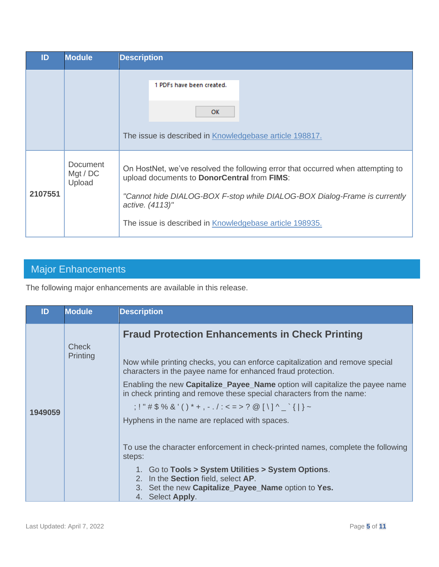| ID      | <b>Module</b>                  | <b>Description</b>                                                                                                             |
|---------|--------------------------------|--------------------------------------------------------------------------------------------------------------------------------|
|         |                                | 1 PDFs have been created.                                                                                                      |
|         |                                | <b>OK</b>                                                                                                                      |
|         |                                | The issue is described in Knowledgebase article 198817.                                                                        |
| 2107551 | Document<br>Mgt / DC<br>Upload | On HostNet, we've resolved the following error that occurred when attempting to<br>upload documents to DonorCentral from FIMS: |
|         |                                | "Cannot hide DIALOG-BOX F-stop while DIALOG-BOX Dialog-Frame is currently<br>active. (4113)"                                   |
|         |                                | The issue is described in Knowledgebase article 198935.                                                                        |

## <span id="page-4-0"></span>Major Enhancements

The following major enhancements are available in this release.

| ID      | <b>Module</b>            | <b>Description</b>                                                                                                                                   |
|---------|--------------------------|------------------------------------------------------------------------------------------------------------------------------------------------------|
|         | <b>Check</b><br>Printing | <b>Fraud Protection Enhancements in Check Printing</b>                                                                                               |
|         |                          | Now while printing checks, you can enforce capitalization and remove special<br>characters in the payee name for enhanced fraud protection.          |
|         |                          | Enabling the new Capitalize_Payee_Name option will capitalize the payee name<br>in check printing and remove these special characters from the name: |
| 1949059 |                          | $: ! " # $% & ( ) * + , - . / : < = > ? @ [ \ \ ] \wedge \ \dot{ } \ \{   \} \sim$                                                                   |
|         |                          | Hyphens in the name are replaced with spaces.                                                                                                        |
|         |                          | To use the character enforcement in check-printed names, complete the following<br>steps:                                                            |
|         |                          | 1. Go to Tools > System Utilities > System Options.<br>2. In the Section field, select AP.                                                           |
|         |                          | 3. Set the new Capitalize_Payee_Name option to Yes.<br>4. Select Apply.                                                                              |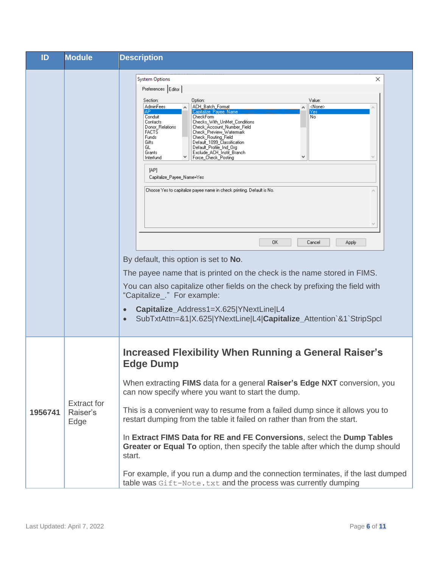| ID      | <b>Module</b>                          | <b>Description</b>                                                                                                                                                                                                                                                                                                                                                                                                                                                                                                                                                                                                                                                                                                                                                                                                                                                                                                                                                                                                                                                                                                 |  |
|---------|----------------------------------------|--------------------------------------------------------------------------------------------------------------------------------------------------------------------------------------------------------------------------------------------------------------------------------------------------------------------------------------------------------------------------------------------------------------------------------------------------------------------------------------------------------------------------------------------------------------------------------------------------------------------------------------------------------------------------------------------------------------------------------------------------------------------------------------------------------------------------------------------------------------------------------------------------------------------------------------------------------------------------------------------------------------------------------------------------------------------------------------------------------------------|--|
|         |                                        | <b>System Options</b><br>×<br>Preferences Editor<br>Value:<br>Section:<br>Option:<br>AdminFees<br>ACH_Batch_Format<br><none><br/>Capitalize Payee Name<br/>АP<br/>Yes<br/>Conduit<br/>CheckForm<br/>No.<br/>Checks_With_UnMet_Conditions<br/>Contacts<br/>Donor Relations<br/>Check_Account_Number_Field<br/><b>FACTS</b><br/>Check_Preview_Watermark<br/>Funds<br/>Check_Routing_Field<br/>Default_1099_Classification<br/>Gifts<br/>GL<br/>Default_Profile_Ind_Org<br/>Exclude_ACH_Instit_Branch<br/>Grants<br/>Force_Check_Posting<br/>Interfund<br/>[AP]<br/>Capitalize_Payee_Name=Yes<br/>Choose Yes to capitalize payee name in check printing. Default is No.<br/>OΚ<br/>Cancel<br/>Apply<br/>By default, this option is set to No.<br/>The payee name that is printed on the check is the name stored in FIMS.<br/>You can also capitalize other fields on the check by prefixing the field with<br/>"Capitalize_." For example:<br/>Capitalize_Address1=X.625 YNextLine L4<br/>SubTxtAttn=&amp;1 X.625 YNextLine L4 Capitalize_Attention`&amp;1`StripSpcl<br/><math display="block">\bullet</math></none> |  |
| 1956741 | <b>Extract for</b><br>Raiser's<br>Edge | <b>Increased Flexibility When Running a General Raiser's</b><br><b>Edge Dump</b><br>When extracting <b>FIMS</b> data for a general <b>Raiser's Edge NXT</b> conversion, you<br>can now specify where you want to start the dump.<br>This is a convenient way to resume from a failed dump since it allows you to<br>restart dumping from the table it failed on rather than from the start.<br>In Extract FIMS Data for RE and FE Conversions, select the Dump Tables<br>Greater or Equal To option, then specify the table after which the dump should<br>start.<br>For example, if you run a dump and the connection terminates, if the last dumped<br>table was Gift-Note. txt and the process was currently dumping                                                                                                                                                                                                                                                                                                                                                                                            |  |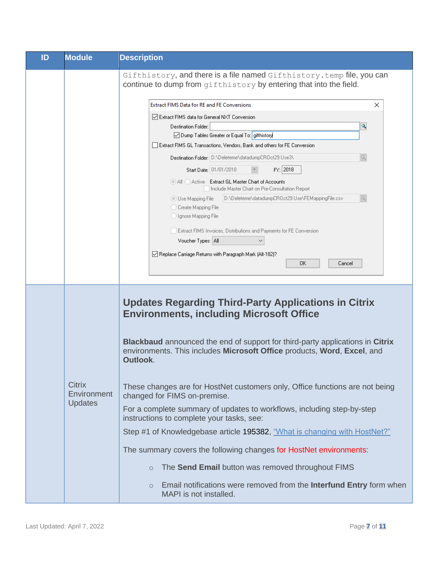| ID | <b>Module</b>                                  | <b>Description</b>                                                                                                                                                          |
|----|------------------------------------------------|-----------------------------------------------------------------------------------------------------------------------------------------------------------------------------|
|    |                                                | Gifthistory, and there is a file named Gifthistory. temp file, you can<br>continue to dump from gifthistory by entering that into the field.                                |
|    |                                                | <b>Extract FIMS Data for RE and FE Conversions</b><br>×                                                                                                                     |
|    |                                                | Extract FIMS data for General NXT Conversion                                                                                                                                |
|    |                                                | ٩<br>Destination Folder:                                                                                                                                                    |
|    |                                                | ◯ Dump Tables Greater or Equal To: gifthistory                                                                                                                              |
|    |                                                | Extract FIMS GL Transactions, Vendors, Bank and others for FE Conversion                                                                                                    |
|    |                                                | Q<br>Destination Folder: D:\Deleteme\datadumpCROct29 Use3\                                                                                                                  |
|    |                                                | FY: 2018<br>Start Date: 01/01/2018                                                                                                                                          |
|    |                                                | All Active Extract GL Master Chart of Accounts<br>Include Master Chart on Pre-Consultation Report                                                                           |
|    |                                                | Q,<br>Use Mapping File                                                                                                                                                      |
|    |                                                | C Create Mapping File                                                                                                                                                       |
|    |                                                | O Ignore Mapping File                                                                                                                                                       |
|    |                                                | Extract FIMS Invoices, Distributions and Payments for FE Conversion                                                                                                         |
|    |                                                | Voucher Types: All                                                                                                                                                          |
|    |                                                | ○ Replace Carriage Returns with Paragraph Mark (Alt-182)?                                                                                                                   |
|    |                                                | OK.<br>Cancel                                                                                                                                                               |
|    |                                                |                                                                                                                                                                             |
|    |                                                | <b>Updates Regarding Third-Party Applications in Citrix</b><br><b>Environments, including Microsoft Office</b>                                                              |
|    | <b>Citrix</b><br>Environment<br><b>Updates</b> | <b>Blackbaud</b> announced the end of support for third-party applications in Citrix<br>environments. This includes Microsoft Office products, Word, Excel, and<br>Outlook. |
|    |                                                | These changes are for HostNet customers only, Office functions are not being<br>changed for FIMS on-premise.                                                                |
|    |                                                | For a complete summary of updates to workflows, including step-by-step<br>instructions to complete your tasks, see:                                                         |
|    |                                                | Step #1 of Knowledgebase article 195382, "What is changing with HostNet?"                                                                                                   |
|    |                                                | The summary covers the following changes for HostNet environments:                                                                                                          |
|    |                                                | The Send Email button was removed throughout FIMS<br>$\circ$                                                                                                                |
|    |                                                | Email notifications were removed from the Interfund Entry form when<br>$\circ$<br>MAPI is not installed.                                                                    |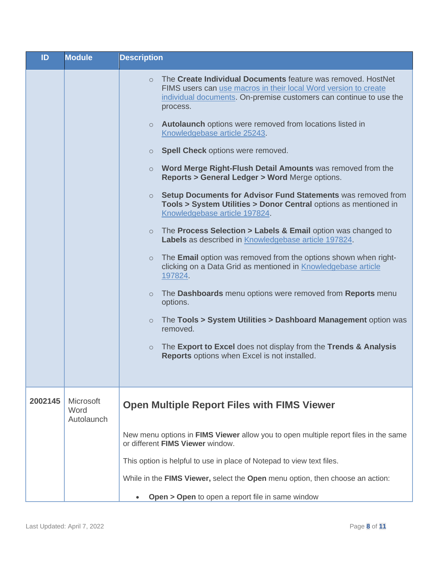| ID      | <b>Module</b>                          | <b>Description</b>                                                                                                                                                                                                                                                                                                                                                                                                                                                                                                                                                                                                                                                                                                                                                                                                                                                                                                                                                                                                                                                                                                                                                                                                                                                                                                                         |
|---------|----------------------------------------|--------------------------------------------------------------------------------------------------------------------------------------------------------------------------------------------------------------------------------------------------------------------------------------------------------------------------------------------------------------------------------------------------------------------------------------------------------------------------------------------------------------------------------------------------------------------------------------------------------------------------------------------------------------------------------------------------------------------------------------------------------------------------------------------------------------------------------------------------------------------------------------------------------------------------------------------------------------------------------------------------------------------------------------------------------------------------------------------------------------------------------------------------------------------------------------------------------------------------------------------------------------------------------------------------------------------------------------------|
|         |                                        | The Create Individual Documents feature was removed. HostNet<br>$\circ$<br>FIMS users can use macros in their local Word version to create<br>individual documents. On-premise customers can continue to use the<br>process.<br><b>Autolaunch</b> options were removed from locations listed in<br>$\circ$<br>Knowledgebase article 25243.<br><b>Spell Check options were removed.</b><br>$\circ$<br>Word Merge Right-Flush Detail Amounts was removed from the<br>$\circ$<br>Reports > General Ledger > Word Merge options.<br>Setup Documents for Advisor Fund Statements was removed from<br>$\circ$<br>Tools > System Utilities > Donor Central options as mentioned in<br>Knowledgebase article 197824.<br>The Process Selection > Labels & Email option was changed to<br>$\circ$<br>Labels as described in Knowledgebase article 197824.<br>The <b>Email</b> option was removed from the options shown when right-<br>$\circ$<br>clicking on a Data Grid as mentioned in Knowledgebase article<br>197824.<br>The <b>Dashboards</b> menu options were removed from <b>Reports</b> menu<br>$\circ$<br>options.<br>The Tools > System Utilities > Dashboard Management option was<br>$\circ$<br>removed.<br>The Export to Excel does not display from the Trends & Analysis<br>$\circ$<br>Reports options when Excel is not installed. |
|         |                                        |                                                                                                                                                                                                                                                                                                                                                                                                                                                                                                                                                                                                                                                                                                                                                                                                                                                                                                                                                                                                                                                                                                                                                                                                                                                                                                                                            |
| 2002145 | <b>Microsoft</b><br>Word<br>Autolaunch | <b>Open Multiple Report Files with FIMS Viewer</b>                                                                                                                                                                                                                                                                                                                                                                                                                                                                                                                                                                                                                                                                                                                                                                                                                                                                                                                                                                                                                                                                                                                                                                                                                                                                                         |
|         |                                        | New menu options in FIMS Viewer allow you to open multiple report files in the same<br>or different FIMS Viewer window.                                                                                                                                                                                                                                                                                                                                                                                                                                                                                                                                                                                                                                                                                                                                                                                                                                                                                                                                                                                                                                                                                                                                                                                                                    |
|         |                                        | This option is helpful to use in place of Notepad to view text files.                                                                                                                                                                                                                                                                                                                                                                                                                                                                                                                                                                                                                                                                                                                                                                                                                                                                                                                                                                                                                                                                                                                                                                                                                                                                      |
|         |                                        | While in the FIMS Viewer, select the Open menu option, then choose an action:                                                                                                                                                                                                                                                                                                                                                                                                                                                                                                                                                                                                                                                                                                                                                                                                                                                                                                                                                                                                                                                                                                                                                                                                                                                              |
|         |                                        | Open > Open to open a report file in same window                                                                                                                                                                                                                                                                                                                                                                                                                                                                                                                                                                                                                                                                                                                                                                                                                                                                                                                                                                                                                                                                                                                                                                                                                                                                                           |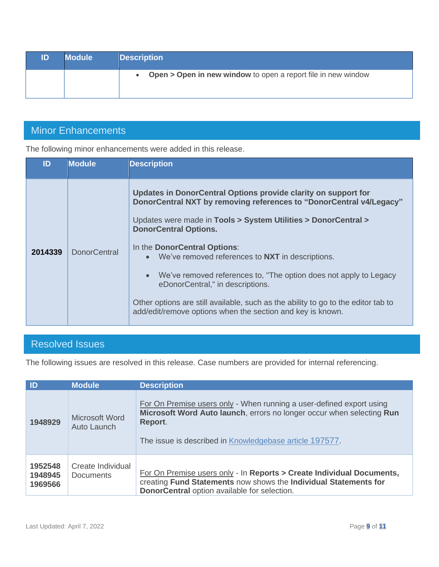| ID | <b>Module</b> | <b>Description</b>                                              |
|----|---------------|-----------------------------------------------------------------|
|    |               | • Open > Open in new window to open a report file in new window |

### <span id="page-8-0"></span>Minor Enhancements

The following minor enhancements were added in this release.

| ID      | <b>Module</b>       | <b>Description</b>                                                                                                                                                                                                                                                                                                                                                                                                                                                                                                                                                                                                |
|---------|---------------------|-------------------------------------------------------------------------------------------------------------------------------------------------------------------------------------------------------------------------------------------------------------------------------------------------------------------------------------------------------------------------------------------------------------------------------------------------------------------------------------------------------------------------------------------------------------------------------------------------------------------|
| 2014339 | <b>DonorCentral</b> | Updates in DonorCentral Options provide clarity on support for<br>DonorCentral NXT by removing references to "DonorCentral v4/Legacy"<br>Updates were made in Tools > System Utilities > DonorCentral ><br><b>DonorCentral Options.</b><br>In the DonorCentral Options:<br>We've removed references to NXT in descriptions.<br>$\bullet$<br>We've removed references to, "The option does not apply to Legacy<br>$\bullet$<br>eDonorCentral," in descriptions.<br>Other options are still available, such as the ability to go to the editor tab to<br>add/edit/remove options when the section and key is known. |

# <span id="page-8-1"></span>Resolved Issues

The following issues are resolved in this release. Case numbers are provided for internal referencing.

| $\overline{1}$                | <b>Module</b>                         | <b>Description</b>                                                                                                                                                                                                  |
|-------------------------------|---------------------------------------|---------------------------------------------------------------------------------------------------------------------------------------------------------------------------------------------------------------------|
| 1948929                       | Microsoft Word<br>Auto Launch         | For On Premise users only - When running a user-defined export using<br>Microsoft Word Auto launch, errors no longer occur when selecting Run<br>Report.<br>The issue is described in Knowledgebase article 197577. |
| 1952548<br>1948945<br>1969566 | Create Individual<br><b>Documents</b> | For On Premise users only - In Reports > Create Individual Documents,<br>creating Fund Statements now shows the Individual Statements for<br>DonorCentral option available for selection.                           |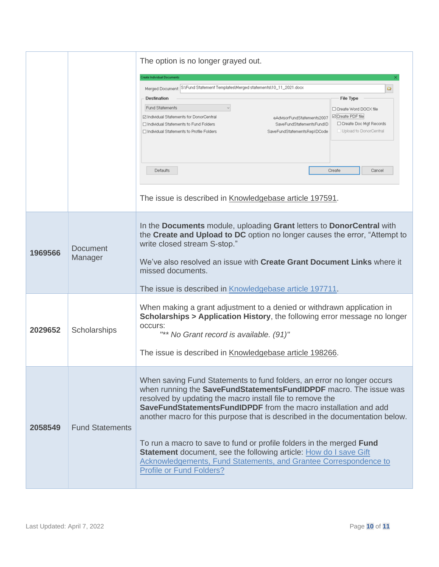|         |                            | The option is no longer grayed out.<br>reate Individual Documents<br>S:\Fund Statement Templates\Merged statements\10_11_2021.docx<br>Merged Document:<br>$\circ$<br>Destination<br><b>File Type</b><br><b>Fund Statements</b><br>□ Create Word DOCX file<br>⊠ Create PDF file<br>⊡ Individual Statements for DonorCentral<br>eAdvisorFundStatements2007<br>□ Create Doc Mgt Records<br>□ Individual Statements to Fund Folders<br>SaveFundStatementsFundID<br>Upload to DonorCentral<br>□ Individual Statements to Profile Folders<br>SaveFundStatementsRepIDCode<br>Defaults<br>Create<br>Cancel<br>The issue is described in Knowledgebase article 197591. |
|---------|----------------------------|---------------------------------------------------------------------------------------------------------------------------------------------------------------------------------------------------------------------------------------------------------------------------------------------------------------------------------------------------------------------------------------------------------------------------------------------------------------------------------------------------------------------------------------------------------------------------------------------------------------------------------------------------------------|
| 1969566 | <b>Document</b><br>Manager | In the Documents module, uploading Grant letters to DonorCentral with<br>the Create and Upload to DC option no longer causes the error, "Attempt to<br>write closed stream S-stop."<br>We've also resolved an issue with <b>Create Grant Document Links</b> where it<br>missed documents.<br>The issue is described in Knowledgebase article 197711.                                                                                                                                                                                                                                                                                                          |
| 2029652 | Scholarships               | When making a grant adjustment to a denied or withdrawn application in<br><b>Scholarships &gt; Application History</b> , the following error message no longer<br>occurs:<br>"** No Grant record is available. (91)"<br>The issue is described in Knowledgebase article 198266.                                                                                                                                                                                                                                                                                                                                                                               |
| 2058549 | <b>Fund Statements</b>     | When saving Fund Statements to fund folders, an error no longer occurs<br>when running the SaveFundStatementsFundIDPDF macro. The issue was<br>resolved by updating the macro install file to remove the<br><b>SaveFundStatementsFundIDPDF</b> from the macro installation and add<br>another macro for this purpose that is described in the documentation below.<br>To run a macro to save to fund or profile folders in the merged Fund<br><b>Statement</b> document, see the following article: How do I save Gift<br><b>Acknowledgements, Fund Statements, and Grantee Correspondence to</b><br><b>Profile or Fund Folders?</b>                          |